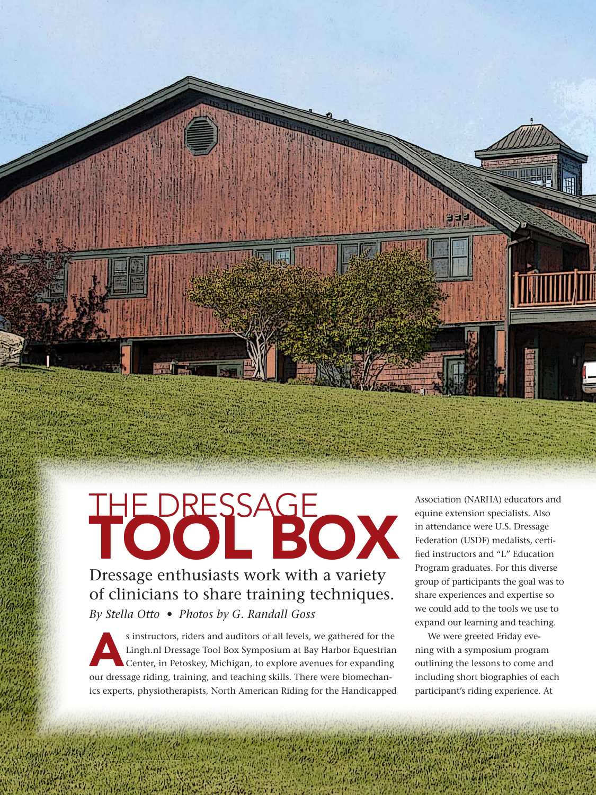

# Dressage enthusiasts work with a variety of clinicians to share training techniques. *By Stella Otto • Photos by G. Randall Goss* THE DRESSAGE OX

s instructors, riders and auditors of all levels, we gathered for the Lingh.nl Dressage Tool Box Symposium at Bay Harbor Equestrian<br>Center, in Petoskey, Michigan, to explore avenues for expanding<br>the second interaction and Lingh.nl Dressage Tool Box Symposium at Bay Harbor Equestrian Center, in Petoskey, Michigan, to explore avenues for expanding our dressage riding, training, and teaching skills. There were biomechanics experts, physiotherapists, North American Riding for the Handicapped

40 **Dressed Today October 2010** 

Association (NARHA) educators and equine extension specialists. Also in attendance were U.S. Dressage Federation (USDF) medalists, certified instructors and "L" Education Program graduates. For this diverse group of participants the goal was to share experiences and expertise so we could add to the tools we use to expand our learning and teaching.

We were greeted Friday evening with a symposium program outlining the lessons to come and including short biographies of each participant's riding experience. At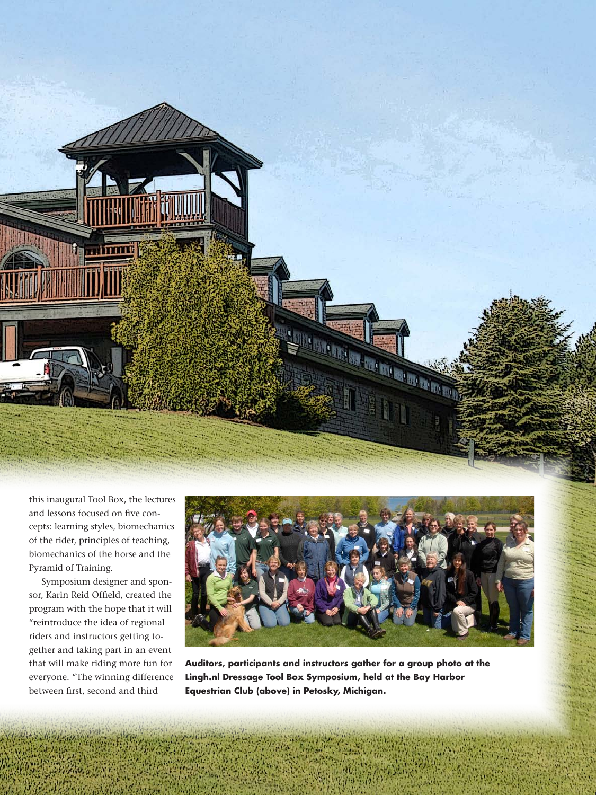

this inaugural Tool Box, the lectures and lessons focused on five concepts: learning styles, biomechanics of the rider, principles of teaching, biomechanics of the horse and the Pyramid of Training.

Symposium designer and sponsor, Karin Reid Offield, created the program with the hope that it will "reintroduce the idea of regional riders and instructors getting together and taking part in an event that will make riding more fun for everyone. "The winning difference between first, second and third



**Auditors, participants and instructors gather for a group photo at the Lingh.nl Dressage Tool Box Symposium, held at the Bay Harbor Equestrian Club (above) in Petosky, Michigan.**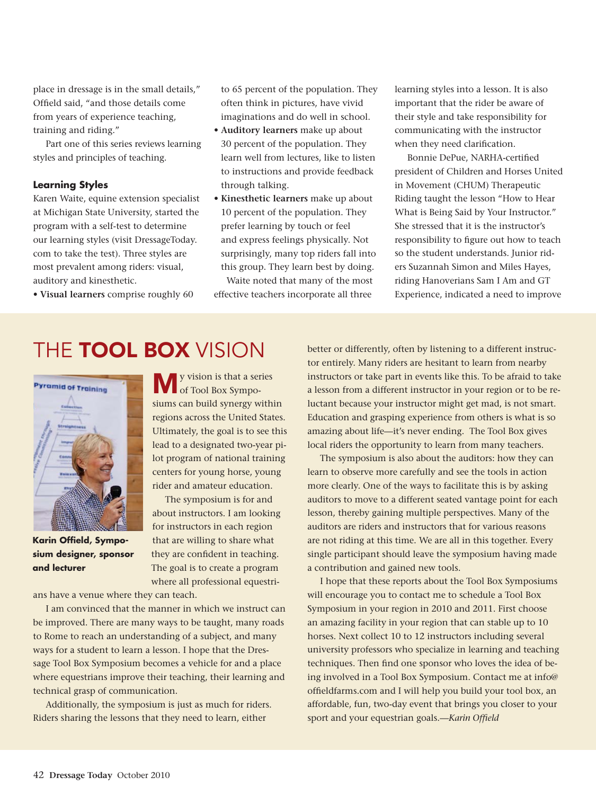place in dressage is in the small details," Offield said, "and those details come from years of experience teaching, training and riding."

Part one of this series reviews learning styles and principles of teaching.

### **Learning Styles**

Karen Waite, equine extension specialist at Michigan State University, started the program with a self-test to determine our learning styles (visit DressageToday. com to take the test). Three styles are most prevalent among riders: visual, auditory and kinesthetic.

**• Visual learners** comprise roughly 60

to 65 percent of the population. They often think in pictures, have vivid imaginations and do well in school.

- **Auditory learners** make up about 30 percent of the population. They learn well from lectures, like to listen to instructions and provide feedback through talking.
- **Kinesthetic learners** make up about 10 percent of the population. They prefer learning by touch or feel and express feelings physically. Not surprisingly, many top riders fall into this group. They learn best by doing. Waite noted that many of the most effective teachers incorporate all three

learning styles into a lesson. It is also important that the rider be aware of their style and take responsibility for communicating with the instructor when they need clarification.

Bonnie DePue, NARHA-certified president of Children and Horses United in Movement (CHUM) Therapeutic Riding taught the lesson "How to Hear What is Being Said by Your Instructor." She stressed that it is the instructor's responsibility to figure out how to teach so the student understands. Junior riders Suzannah Simon and Miles Hayes, riding Hanoverians Sam I Am and GT Experience, indicated a need to improve

## THE **TOOL BOX** VISION



**Karin Offield, Symposium designer, sponsor and lecturer**

My vision is that a series of Tool Box Symposiums can build synergy within regions across the United States. Ultimately, the goal is to see this lead to a designated two-year pilot program of national training centers for young horse, young rider and amateur education.

The symposium is for and about instructors. I am looking for instructors in each region that are willing to share what they are confident in teaching. The goal is to create a program where all professional equestribetter or differently, often by listening to a different instructor entirely. Many riders are hesitant to learn from nearby instructors or take part in events like this. To be afraid to take a lesson from a different instructor in your region or to be reluctant because your instructor might get mad, is not smart. Education and grasping experience from others is what is so amazing about life—it's never ending. The Tool Box gives local riders the opportunity to learn from many teachers.

The symposium is also about the auditors: how they can learn to observe more carefully and see the tools in action more clearly. One of the ways to facilitate this is by asking auditors to move to a different seated vantage point for each lesson, thereby gaining multiple perspectives. Many of the auditors are riders and instructors that for various reasons are not riding at this time. We are all in this together. Every single participant should leave the symposium having made a contribution and gained new tools.

I hope that these reports about the Tool Box Symposiums will encourage you to contact me to schedule a Tool Box Symposium in your region in 2010 and 2011. First choose an amazing facility in your region that can stable up to 10 horses. Next collect 10 to 12 instructors including several university professors who specialize in learning and teaching techniques. Then find one sponsor who loves the idea of being involved in a Tool Box Symposium. Contact me at info@ offieldfarms.com and I will help you build your tool box, an affordable, fun, two-day event that brings you closer to your sport and your equestrian goals.*—Karin Offield*

ans have a venue where they can teach.

I am convinced that the manner in which we instruct can be improved. There are many ways to be taught, many roads to Rome to reach an understanding of a subject, and many ways for a student to learn a lesson. I hope that the Dressage Tool Box Symposium becomes a vehicle for and a place where equestrians improve their teaching, their learning and technical grasp of communication.

Additionally, the symposium is just as much for riders. Riders sharing the lessons that they need to learn, either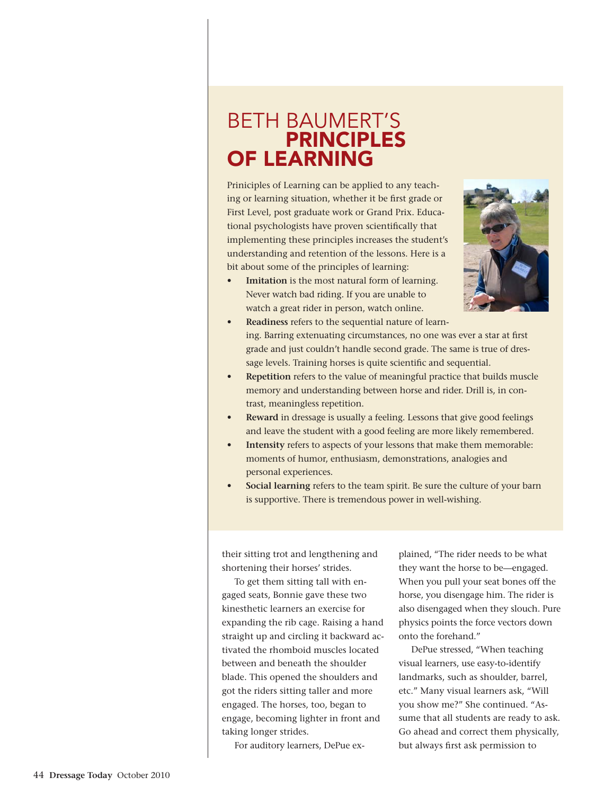### BETH BAUMERT'S **PRINCIPLES** OF LEARNING

Priniciples of Learning can be applied to any teaching or learning situation, whether it be first grade or First Level, post graduate work or Grand Prix. Educational psychologists have proven scientifically that implementing these principles increases the student's understanding and retention of the lessons. Here is a bit about some of the principles of learning:



- **Imitation** is the most natural form of learning. Never watch bad riding. If you are unable to watch a great rider in person, watch online.
- **• Readiness** refers to the sequential nature of learning. Barring extenuating circumstances, no one was ever a star at first grade and just couldn't handle second grade. The same is true of dressage levels. Training horses is quite scientific and sequential.
- **• Repetition** refers to the value of meaningful practice that builds muscle memory and understanding between horse and rider. Drill is, in contrast, meaningless repetition.
- **• Reward** in dressage is usually a feeling. Lessons that give good feelings and leave the student with a good feeling are more likely remembered.
- **• Intensity** refers to aspects of your lessons that make them memorable: moments of humor, enthusiasm, demonstrations, analogies and personal experiences.
- **• Social learning** refers to the team spirit. Be sure the culture of your barn is supportive. There is tremendous power in well-wishing.

their sitting trot and lengthening and shortening their horses' strides.

To get them sitting tall with engaged seats, Bonnie gave these two kinesthetic learners an exercise for expanding the rib cage. Raising a hand straight up and circling it backward activated the rhomboid muscles located between and beneath the shoulder blade. This opened the shoulders and got the riders sitting taller and more engaged. The horses, too, began to engage, becoming lighter in front and taking longer strides.

For auditory learners, DePue ex-

plained, "The rider needs to be what they want the horse to be—engaged. When you pull your seat bones off the horse, you disengage him. The rider is also disengaged when they slouch. Pure physics points the force vectors down onto the forehand."

DePue stressed, "When teaching visual learners, use easy-to-identify landmarks, such as shoulder, barrel, etc." Many visual learners ask, "Will you show me?" She continued. "Assume that all students are ready to ask. Go ahead and correct them physically, but always first ask permission to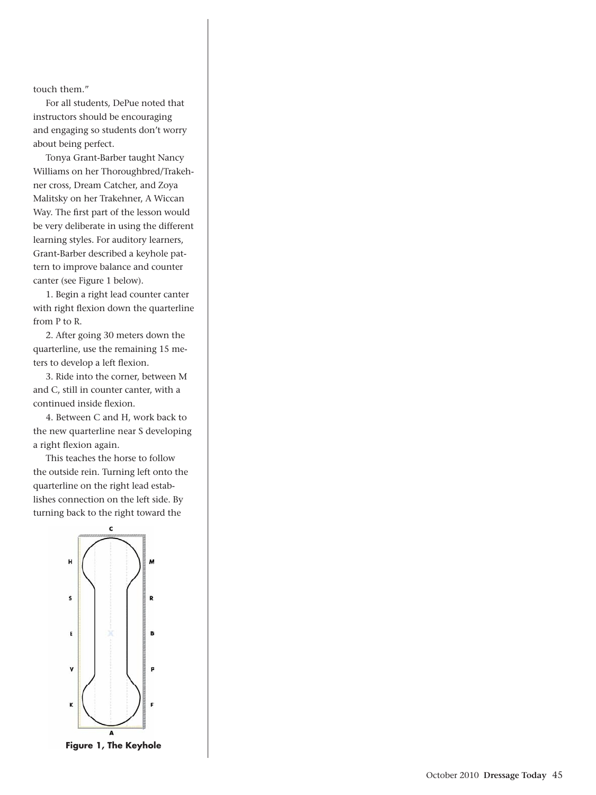touch them."

For all students, DePue noted that instructors should be encouraging and engaging so students don't worry about being perfect.

Tonya Grant-Barber taught Nancy Williams on her Thoroughbred/Trakehner cross, Dream Catcher, and Zoya Malitsky on her Trakehner, A Wiccan Way. The first part of the lesson would be very deliberate in using the different learning styles. For auditory learners, Grant-Barber described a keyhole pattern to improve balance and counter canter (see Figure 1 below).

1. Begin a right lead counter canter with right flexion down the quarterline from P to R.

2. After going 30 meters down the quarterline, use the remaining 15 meters to develop a left flexion.

3. Ride into the corner, between M and C, still in counter canter, with a continued inside flexion.

4. Between C and H, work back to the new quarterline near S developing a right flexion again.

This teaches the horse to follow the outside rein. Turning left onto the quarterline on the right lead establishes connection on the left side. By turning back to the right toward the



**Figure 1, The Keyhole**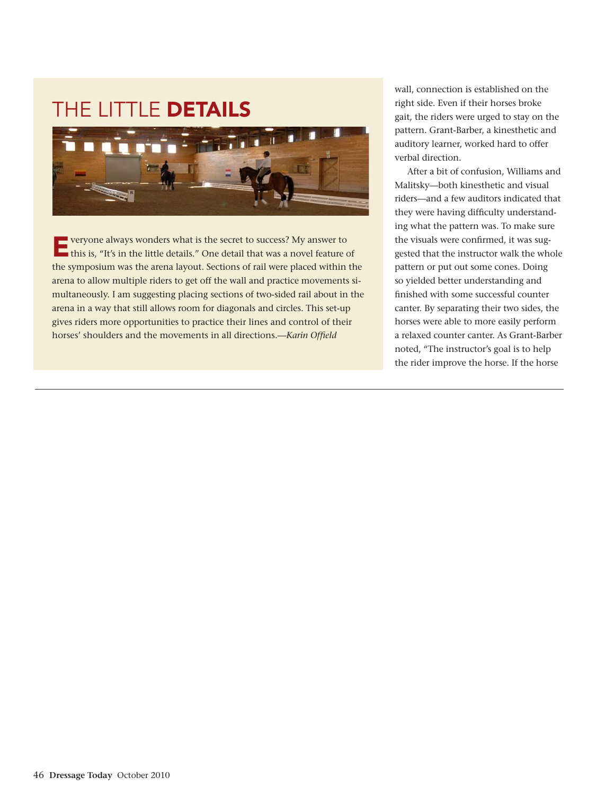# THE LITTLE **DETAILS**



Everyone always wonders what is the secret to success? My answer to this is, "It's in the little details." One detail that was a novel feature of the symposium was the arena layout. Sections of rail were placed within the arena to allow multiple riders to get off the wall and practice movements simultaneously. I am suggesting placing sections of two-sided rail about in the arena in a way that still allows room for diagonals and circles. This set-up gives riders more opportunities to practice their lines and control of their horses' shoulders and the movements in all directions.*—Karin Offield*

wall, connection is established on the right side. Even if their horses broke gait, the riders were urged to stay on the pattern. Grant-Barber, a kinesthetic and auditory learner, worked hard to offer verbal direction.

After a bit of confusion, Williams and Malitsky—both kinesthetic and visual riders—and a few auditors indicated that they were having difficulty understanding what the pattern was. To make sure the visuals were confirmed, it was suggested that the instructor walk the whole pattern or put out some cones. Doing so yielded better understanding and finished with some successful counter canter. By separating their two sides, the horses were able to more easily perform a relaxed counter canter. As Grant-Barber noted, "The instructor's goal is to help the rider improve the horse. If the horse